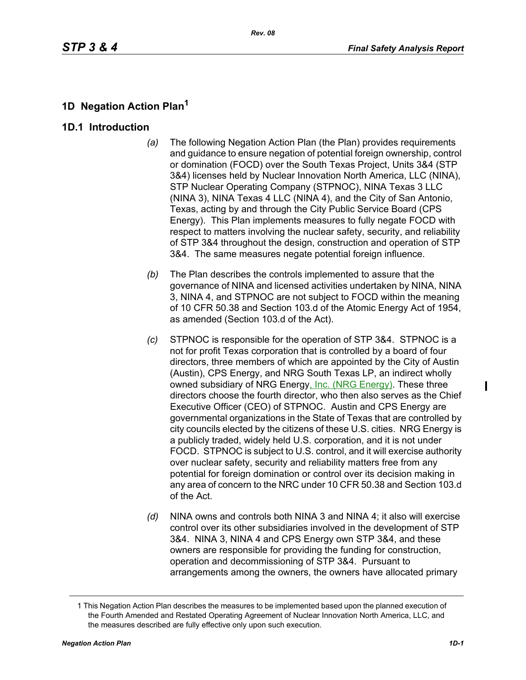# **1D Negation Action Plan<sup>1</sup>**

## **1D.1 Introduction**

- *(a)* The following Negation Action Plan (the Plan) provides requirements and guidance to ensure negation of potential foreign ownership, control or domination (FOCD) over the South Texas Project, Units 3&4 (STP 3&4) licenses held by Nuclear Innovation North America, LLC (NINA), STP Nuclear Operating Company (STPNOC), NINA Texas 3 LLC (NINA 3), NINA Texas 4 LLC (NINA 4), and the City of San Antonio, Texas, acting by and through the City Public Service Board (CPS Energy). This Plan implements measures to fully negate FOCD with respect to matters involving the nuclear safety, security, and reliability of STP 3&4 throughout the design, construction and operation of STP 3&4. The same measures negate potential foreign influence.
- *(b)* The Plan describes the controls implemented to assure that the governance of NINA and licensed activities undertaken by NINA, NINA 3, NINA 4, and STPNOC are not subject to FOCD within the meaning of 10 CFR 50.38 and Section 103.d of the Atomic Energy Act of 1954, as amended (Section 103.d of the Act).
- *(c)* STPNOC is responsible for the operation of STP 3&4. STPNOC is a not for profit Texas corporation that is controlled by a board of four directors, three members of which are appointed by the City of Austin (Austin), CPS Energy, and NRG South Texas LP, an indirect wholly owned subsidiary of NRG Energy, Inc. (NRG Energy). These three directors choose the fourth director, who then also serves as the Chief Executive Officer (CEO) of STPNOC. Austin and CPS Energy are governmental organizations in the State of Texas that are controlled by city councils elected by the citizens of these U.S. cities. NRG Energy is a publicly traded, widely held U.S. corporation, and it is not under FOCD. STPNOC is subject to U.S. control, and it will exercise authority over nuclear safety, security and reliability matters free from any potential for foreign domination or control over its decision making in any area of concern to the NRC under 10 CFR 50.38 and Section 103.d of the Act.
- *(d)* NINA owns and controls both NINA 3 and NINA 4; it also will exercise control over its other subsidiaries involved in the development of STP 3&4. NINA 3, NINA 4 and CPS Energy own STP 3&4, and these owners are responsible for providing the funding for construction, operation and decommissioning of STP 3&4. Pursuant to arrangements among the owners, the owners have allocated primary

<sup>1</sup> This Negation Action Plan describes the measures to be implemented based upon the planned execution of the Fourth Amended and Restated Operating Agreement of Nuclear Innovation North America, LLC, and the measures described are fully effective only upon such execution.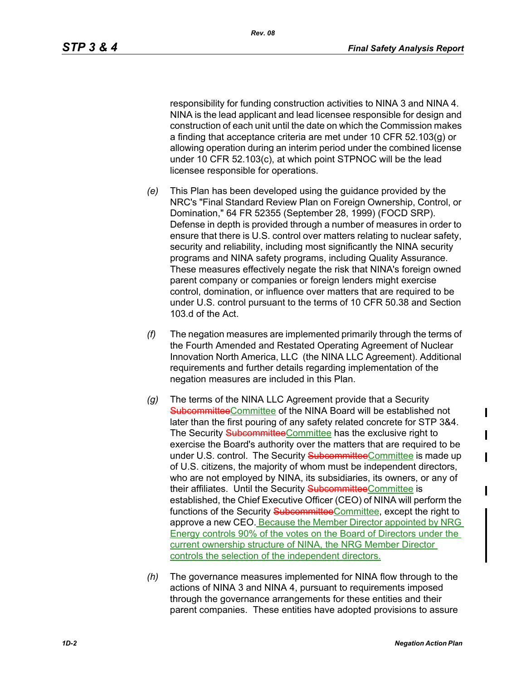responsibility for funding construction activities to NINA 3 and NINA 4. NINA is the lead applicant and lead licensee responsible for design and construction of each unit until the date on which the Commission makes a finding that acceptance criteria are met under 10 CFR 52.103(g) or allowing operation during an interim period under the combined license under 10 CFR 52.103(c), at which point STPNOC will be the lead licensee responsible for operations.

- *(e)* This Plan has been developed using the guidance provided by the NRC's "Final Standard Review Plan on Foreign Ownership, Control, or Domination," 64 FR 52355 (September 28, 1999) (FOCD SRP). Defense in depth is provided through a number of measures in order to ensure that there is U.S. control over matters relating to nuclear safety, security and reliability, including most significantly the NINA security programs and NINA safety programs, including Quality Assurance. These measures effectively negate the risk that NINA's foreign owned parent company or companies or foreign lenders might exercise control, domination, or influence over matters that are required to be under U.S. control pursuant to the terms of 10 CFR 50.38 and Section 103.d of the Act.
- *(f)* The negation measures are implemented primarily through the terms of the Fourth Amended and Restated Operating Agreement of Nuclear Innovation North America, LLC (the NINA LLC Agreement). Additional requirements and further details regarding implementation of the negation measures are included in this Plan.
- *(g)* The terms of the NINA LLC Agreement provide that a Security SubcommitteeCommittee of the NINA Board will be established not later than the first pouring of any safety related concrete for STP 3&4. The Security SubcommitteeCommittee has the exclusive right to exercise the Board's authority over the matters that are required to be under U.S. control. The Security SubcommitteeCommittee is made up of U.S. citizens, the majority of whom must be independent directors, who are not employed by NINA, its subsidiaries, its owners, or any of their affiliates. Until the Security SubcommitteeCommittee is established, the Chief Executive Officer (CEO) of NINA will perform the functions of the Security SubcommitteeCommittee, except the right to approve a new CEO. Because the Member Director appointed by NRG Energy controls 90% of the votes on the Board of Directors under the current ownership structure of NINA, the NRG Member Director controls the selection of the independent directors.
- *(h)* The governance measures implemented for NINA flow through to the actions of NINA 3 and NINA 4, pursuant to requirements imposed through the governance arrangements for these entities and their parent companies. These entities have adopted provisions to assure

ı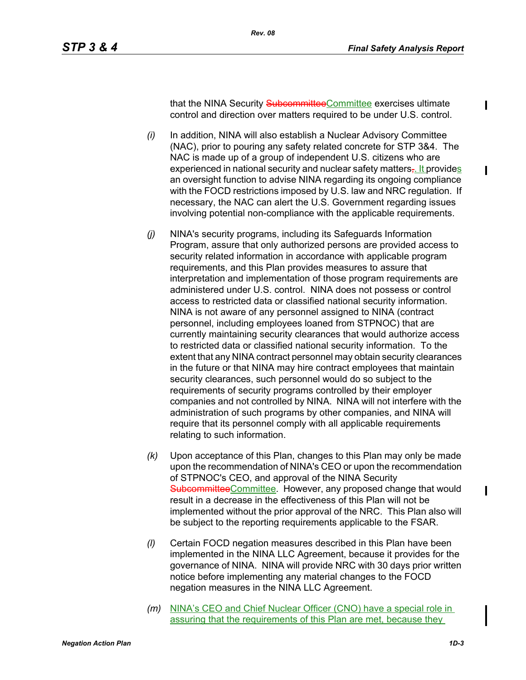ı

that the NINA Security SubcommitteeCommittee exercises ultimate control and direction over matters required to be under U.S. control.

- *(i)* In addition, NINA will also establish a Nuclear Advisory Committee (NAC), prior to pouring any safety related concrete for STP 3&4. The NAC is made up of a group of independent U.S. citizens who are experienced in national security and nuclear safety matters<sub></sub>. It provides an oversight function to advise NINA regarding its ongoing compliance with the FOCD restrictions imposed by U.S. law and NRC regulation. If necessary, the NAC can alert the U.S. Government regarding issues involving potential non-compliance with the applicable requirements.
- *(j)* NINA's security programs, including its Safeguards Information Program, assure that only authorized persons are provided access to security related information in accordance with applicable program requirements, and this Plan provides measures to assure that interpretation and implementation of those program requirements are administered under U.S. control. NINA does not possess or control access to restricted data or classified national security information. NINA is not aware of any personnel assigned to NINA (contract personnel, including employees loaned from STPNOC) that are currently maintaining security clearances that would authorize access to restricted data or classified national security information. To the extent that any NINA contract personnel may obtain security clearances in the future or that NINA may hire contract employees that maintain security clearances, such personnel would do so subject to the requirements of security programs controlled by their employer companies and not controlled by NINA. NINA will not interfere with the administration of such programs by other companies, and NINA will require that its personnel comply with all applicable requirements relating to such information.
- *(k)* Upon acceptance of this Plan, changes to this Plan may only be made upon the recommendation of NINA's CEO or upon the recommendation of STPNOC's CEO, and approval of the NINA Security SubcommitteeCommittee. However, any proposed change that would result in a decrease in the effectiveness of this Plan will not be implemented without the prior approval of the NRC. This Plan also will be subject to the reporting requirements applicable to the FSAR.
- *(l)* Certain FOCD negation measures described in this Plan have been implemented in the NINA LLC Agreement, because it provides for the governance of NINA. NINA will provide NRC with 30 days prior written notice before implementing any material changes to the FOCD negation measures in the NINA LLC Agreement.
- *(m)* NINA's CEO and Chief Nuclear Officer (CNO) have a special role in assuring that the requirements of this Plan are met, because they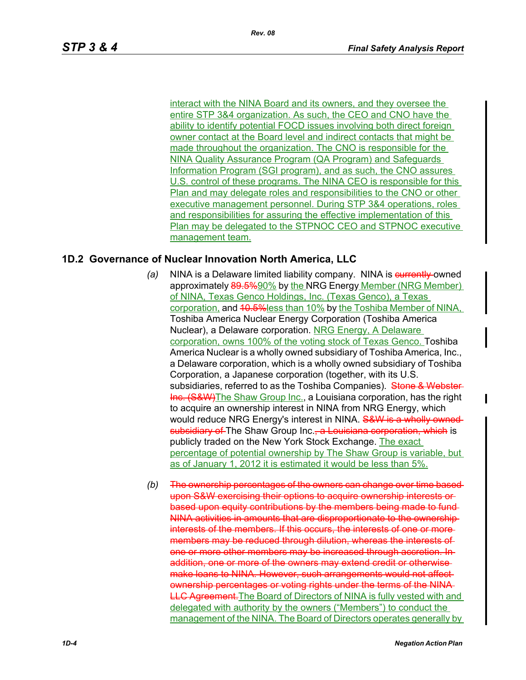interact with the NINA Board and its owners, and they oversee the entire STP 3&4 organization. As such, the CEO and CNO have the ability to identify potential FOCD issues involving both direct foreign owner contact at the Board level and indirect contacts that might be made throughout the organization. The CNO is responsible for the NINA Quality Assurance Program (QA Program) and Safeguards Information Program (SGI program), and as such, the CNO assures U.S. control of these programs. The NINA CEO is responsible for this Plan and may delegate roles and responsibilities to the CNO or other executive management personnel. During STP 3&4 operations, roles and responsibilities for assuring the effective implementation of this Plan may be delegated to the STPNOC CEO and STPNOC executive management team.

## **1D.2 Governance of Nuclear Innovation North America, LLC**

- (a) NINA is a Delaware limited liability company. NINA is **eurrently-**owned approximately 89.5%90% by the NRG Energy Member (NRG Member) of NINA, Texas Genco Holdings, Inc. (Texas Genco), a Texas corporation, and 40.5% less than 10% by the Toshiba Member of NINA, Toshiba America Nuclear Energy Corporation (Toshiba America Nuclear), a Delaware corporation. NRG Energy, A Delaware corporation, owns 100% of the voting stock of Texas Genco. Toshiba America Nuclear is a wholly owned subsidiary of Toshiba America, Inc., a Delaware corporation, which is a wholly owned subsidiary of Toshiba Corporation, a Japanese corporation (together, with its U.S. subsidiaries, referred to as the Toshiba Companies). Stone & Webster-Inc. (S&W) The Shaw Group Inc., a Louisiana corporation, has the right to acquire an ownership interest in NINA from NRG Energy, which would reduce NRG Energy's interest in NINA. S&W is a wholly ownedsubsidiary of The Shaw Group Inc., a Louisiana corporation, which is publicly traded on the New York Stock Exchange. The exact percentage of potential ownership by The Shaw Group is variable, but as of January 1, 2012 it is estimated it would be less than 5%.
- *(b)* The ownership percentages of the owners can change over time based upon S&W exercising their options to acquire ownership interests or based upon equity contributions by the members being made to fund NINA activities in amounts that are disproportionate to the ownership interests of the members. If this occurs, the interests of one or more members may be reduced through dilution, whereas the interests of one or more other members may be increased through accretion. In addition, one or more of the owners may extend credit or otherwise make loans to NINA. However, such arrangements would not affect ownership percentages or voting rights under the terms of the NINA **LLC Agreement.** The Board of Directors of NINA is fully vested with and delegated with authority by the owners ("Members") to conduct the management of the NINA. The Board of Directors operates generally by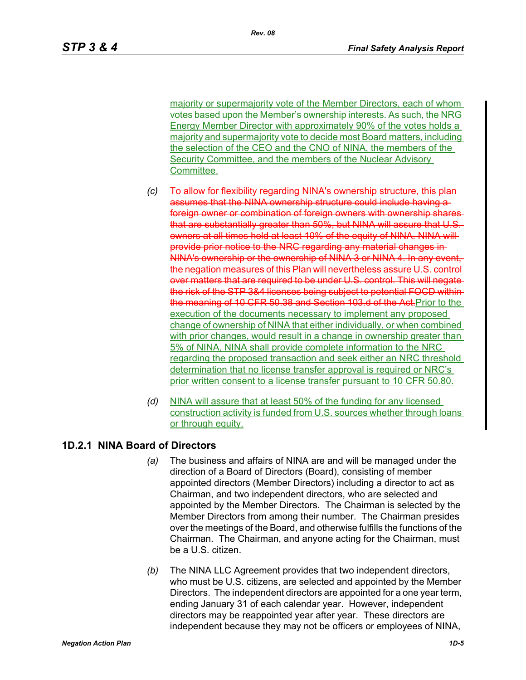majority or supermajority vote of the Member Directors, each of whom votes based upon the Member's ownership interests. As such, the NRG Energy Member Director with approximately 90% of the votes holds a majority and supermajority vote to decide most Board matters, including the selection of the CEO and the CNO of NINA, the members of the Security Committee, and the members of the Nuclear Advisory Committee.

- *(c)* To allow for flexibility regarding NINA's ownership assumes that the NINA ownership structure could include having a foreign owner or combination of foreign owners with ownership shares that are substantially greater than 50%, but NINA will assure that U.S. owners at all times hold at least 10% of the equity of NINA. NINA will provide prior notice to the NRC regarding any material changes in NINA's ownership or the ownership of NINA 3 or NINA 4. In any event the negation measures of this Plan will nevertheless assure U.S. cort over matters that are required to be under U.S. control. This will negate the risk of the STP 3&4 licenses being subject to potential FOCD within the meaning of 10 CFR 50.38 and Section 103.d of the Act. Prior to the execution of the documents necessary to implement any proposed change of ownership of NINA that either individually, or when combined with prior changes, would result in a change in ownership greater than 5% of NINA, NINA shall provide complete information to the NRC regarding the proposed transaction and seek either an NRC threshold determination that no license transfer approval is required or NRC's prior written consent to a license transfer pursuant to 10 CFR 50.80.
- *(d)* NINA will assure that at least 50% of the funding for any licensed construction activity is funded from U.S. sources whether through loans or through equity.

## **1D.2.1 NINA Board of Directors**

- *(a)* The business and affairs of NINA are and will be managed under the direction of a Board of Directors (Board), consisting of member appointed directors (Member Directors) including a director to act as Chairman, and two independent directors, who are selected and appointed by the Member Directors. The Chairman is selected by the Member Directors from among their number. The Chairman presides over the meetings of the Board, and otherwise fulfills the functions of the Chairman. The Chairman, and anyone acting for the Chairman, must be a U.S. citizen.
- *(b)* The NINA LLC Agreement provides that two independent directors, who must be U.S. citizens, are selected and appointed by the Member Directors. The independent directors are appointed for a one year term, ending January 31 of each calendar year. However, independent directors may be reappointed year after year. These directors are independent because they may not be officers or employees of NINA,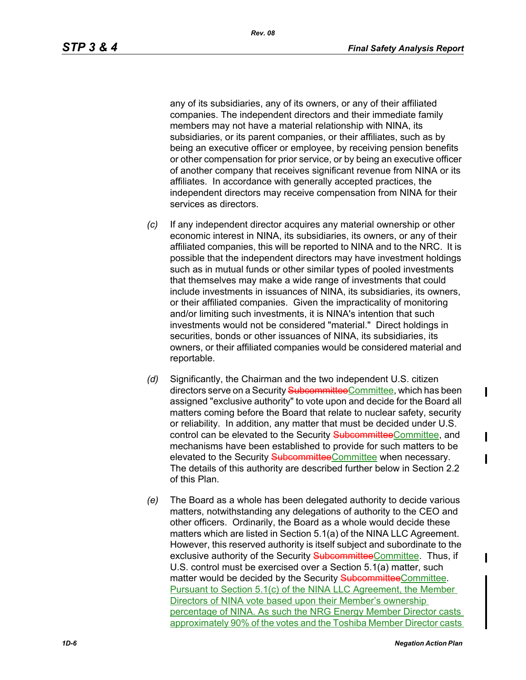any of its subsidiaries, any of its owners, or any of their affiliated companies. The independent directors and their immediate family members may not have a material relationship with NINA, its subsidiaries, or its parent companies, or their affiliates, such as by being an executive officer or employee, by receiving pension benefits or other compensation for prior service, or by being an executive officer of another company that receives significant revenue from NINA or its affiliates. In accordance with generally accepted practices, the independent directors may receive compensation from NINA for their services as directors.

- *(c)* If any independent director acquires any material ownership or other economic interest in NINA, its subsidiaries, its owners, or any of their affiliated companies, this will be reported to NINA and to the NRC. It is possible that the independent directors may have investment holdings such as in mutual funds or other similar types of pooled investments that themselves may make a wide range of investments that could include investments in issuances of NINA, its subsidiaries, its owners, or their affiliated companies. Given the impracticality of monitoring and/or limiting such investments, it is NINA's intention that such investments would not be considered "material." Direct holdings in securities, bonds or other issuances of NINA, its subsidiaries, its owners, or their affiliated companies would be considered material and reportable.
- *(d)* Significantly, the Chairman and the two independent U.S. citizen directors serve on a Security SubcommitteeCommittee, which has been assigned "exclusive authority" to vote upon and decide for the Board all matters coming before the Board that relate to nuclear safety, security or reliability. In addition, any matter that must be decided under U.S. control can be elevated to the Security SubcommitteeCommittee, and mechanisms have been established to provide for such matters to be elevated to the Security SubcommitteeCommittee when necessary. The details of this authority are described further below in Section 2.2 of this Plan.
- *(e)* The Board as a whole has been delegated authority to decide various matters, notwithstanding any delegations of authority to the CEO and other officers. Ordinarily, the Board as a whole would decide these matters which are listed in Section 5.1(a) of the NINA LLC Agreement. However, this reserved authority is itself subject and subordinate to the exclusive authority of the Security SubcommitteeCommittee. Thus, if U.S. control must be exercised over a Section 5.1(a) matter, such matter would be decided by the Security **Subcommittee**Committee. Pursuant to Section 5.1(c) of the NINA LLC Agreement, the Member Directors of NINA vote based upon their Member's ownership percentage of NINA. As such the NRG Energy Member Director casts approximately 90% of the votes and the Toshiba Member Director casts

ı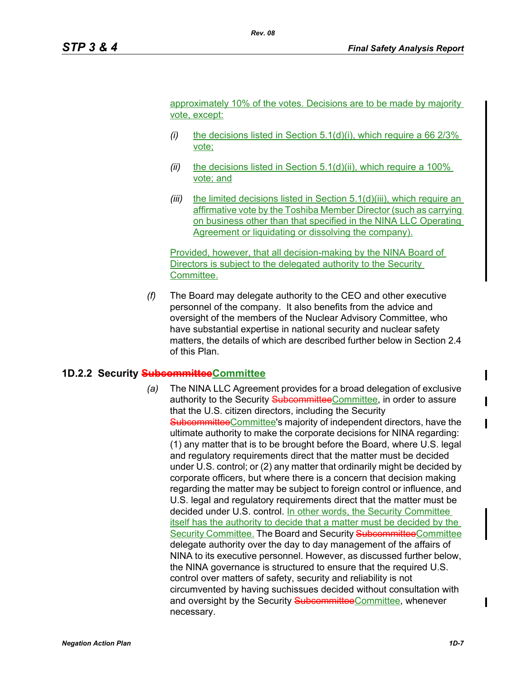approximately 10% of the votes. Decisions are to be made by majority vote, except:

- *(i)* the decisions listed in Section 5.1(d)(i), which require a 66 2/3% vote;
- *(ii)* the decisions listed in Section 5.1(d)(ii), which require a 100% vote; and
- *(iii)* the limited decisions listed in Section 5.1(d)(iii), which require an affirmative vote by the Toshiba Member Director (such as carrying on business other than that specified in the NINA LLC Operating Agreement or liquidating or dissolving the company).

Provided, however, that all decision-making by the NINA Board of Directors is subject to the delegated authority to the Security Committee.

*(f)* The Board may delegate authority to the CEO and other executive personnel of the company. It also benefits from the advice and oversight of the members of the Nuclear Advisory Committee, who have substantial expertise in national security and nuclear safety matters, the details of which are described further below in Section 2.4 of this Plan.

### **1D.2.2 Security SubcommitteeCommittee**

*(a)* The NINA LLC Agreement provides for a broad delegation of exclusive authority to the Security SubcommitteeCommittee, in order to assure that the U.S. citizen directors, including the Security SubcommitteeCommittee's majority of independent directors, have the ultimate authority to make the corporate decisions for NINA regarding: (1) any matter that is to be brought before the Board, where U.S. legal and regulatory requirements direct that the matter must be decided under U.S. control; or (2) any matter that ordinarily might be decided by corporate officers, but where there is a concern that decision making regarding the matter may be subject to foreign control or influence, and U.S. legal and regulatory requirements direct that the matter must be decided under U.S. control. In other words, the Security Committee itself has the authority to decide that a matter must be decided by the Security Committee. The Board and Security SubcommitteeCommittee delegate authority over the day to day management of the affairs of NINA to its executive personnel. However, as discussed further below, the NINA governance is structured to ensure that the required U.S. control over matters of safety, security and reliability is not circumvented by having suchissues decided without consultation with and oversight by the Security SubcommitteeCommittee, whenever necessary.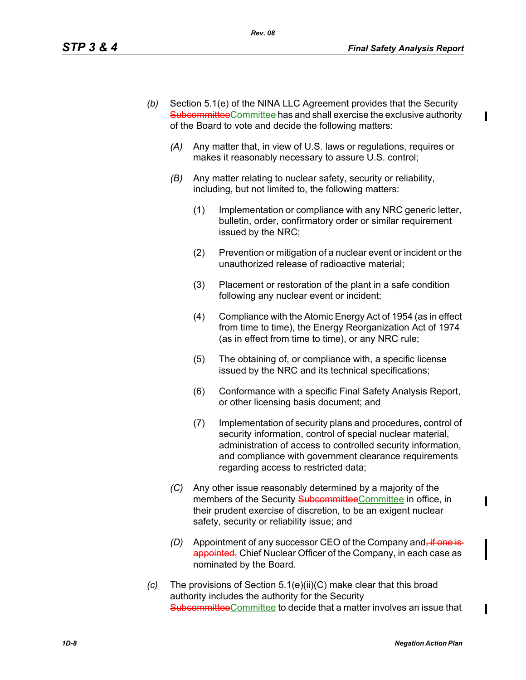I

- *(b)* Section 5.1(e) of the NINA LLC Agreement provides that the Security SubcommitteeCommittee has and shall exercise the exclusive authority of the Board to vote and decide the following matters:
	- *(A)* Any matter that, in view of U.S. laws or regulations, requires or makes it reasonably necessary to assure U.S. control;
	- *(B)* Any matter relating to nuclear safety, security or reliability, including, but not limited to, the following matters:
		- (1) Implementation or compliance with any NRC generic letter, bulletin, order, confirmatory order or similar requirement issued by the NRC;
		- (2) Prevention or mitigation of a nuclear event or incident or the unauthorized release of radioactive material;
		- (3) Placement or restoration of the plant in a safe condition following any nuclear event or incident;
		- (4) Compliance with the Atomic Energy Act of 1954 (as in effect from time to time), the Energy Reorganization Act of 1974 (as in effect from time to time), or any NRC rule;
		- (5) The obtaining of, or compliance with, a specific license issued by the NRC and its technical specifications;
		- (6) Conformance with a specific Final Safety Analysis Report, or other licensing basis document; and
		- (7) Implementation of security plans and procedures, control of security information, control of special nuclear material, administration of access to controlled security information, and compliance with government clearance requirements regarding access to restricted data;
	- *(C)* Any other issue reasonably determined by a majority of the members of the Security SubcommitteeCommittee in office, in their prudent exercise of discretion, to be an exigent nuclear safety, security or reliability issue; and
	- *(D)* Appointment of any successor CEO of the Company and<del>, if one is</del> appointed. Chief Nuclear Officer of the Company, in each case as nominated by the Board.
- *(c)* The provisions of Section 5.1(e)(ii)(C) make clear that this broad authority includes the authority for the Security SubcommitteeCommittee to decide that a matter involves an issue that

 $\mathbf I$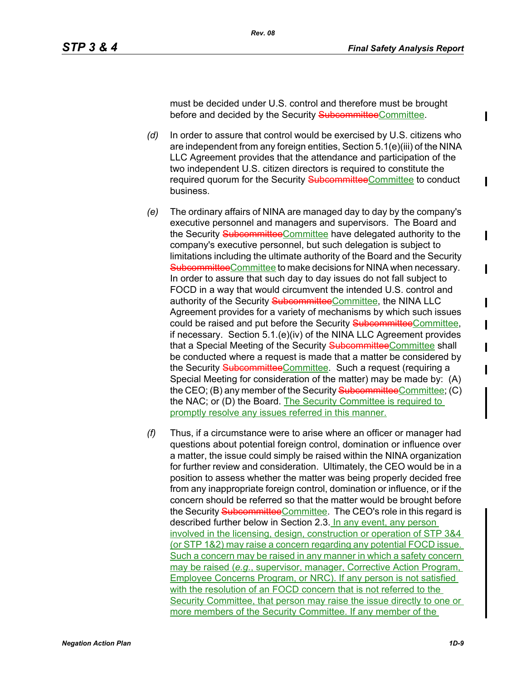must be decided under U.S. control and therefore must be brought before and decided by the Security SubcommitteeCommittee.

- *(d)* In order to assure that control would be exercised by U.S. citizens who are independent from any foreign entities, Section 5.1(e)(iii) of the NINA LLC Agreement provides that the attendance and participation of the two independent U.S. citizen directors is required to constitute the required quorum for the Security SubcommitteeCommittee to conduct business.
- *(e)* The ordinary affairs of NINA are managed day to day by the company's executive personnel and managers and supervisors. The Board and the Security SubcommitteeCommittee have delegated authority to the company's executive personnel, but such delegation is subject to limitations including the ultimate authority of the Board and the Security SubcommitteeCommittee to make decisions for NINA when necessary. In order to assure that such day to day issues do not fall subject to FOCD in a way that would circumvent the intended U.S. control and authority of the Security SubcommitteeCommittee, the NINA LLC Agreement provides for a variety of mechanisms by which such issues could be raised and put before the Security SubcommitteeCommittee, if necessary. Section 5.1.(e)(iv) of the NINA LLC Agreement provides that a Special Meeting of the Security SubcommitteeCommittee shall be conducted where a request is made that a matter be considered by the Security SubcommitteeCommittee. Such a request (requiring a Special Meeting for consideration of the matter) may be made by: (A) the CEO; (B) any member of the Security SubcommitteeCommittee; (C) the NAC; or (D) the Board. The Security Committee is required to promptly resolve any issues referred in this manner.
- *(f)* Thus, if a circumstance were to arise where an officer or manager had questions about potential foreign control, domination or influence over a matter, the issue could simply be raised within the NINA organization for further review and consideration. Ultimately, the CEO would be in a position to assess whether the matter was being properly decided free from any inappropriate foreign control, domination or influence, or if the concern should be referred so that the matter would be brought before the Security SubcommitteeCommittee. The CEO's role in this regard is described further below in Section 2.3. In any event, any person involved in the licensing, design, construction or operation of STP 3&4 (or STP 1&2) may raise a concern regarding any potential FOCD issue. Such a concern may be raised in any manner in which a safety concern may be raised (*e.g.*, supervisor, manager, Corrective Action Program, Employee Concerns Program, or NRC). If any person is not satisfied with the resolution of an FOCD concern that is not referred to the Security Committee, that person may raise the issue directly to one or more members of the Security Committee. If any member of the

 $\blacksquare$ 

ı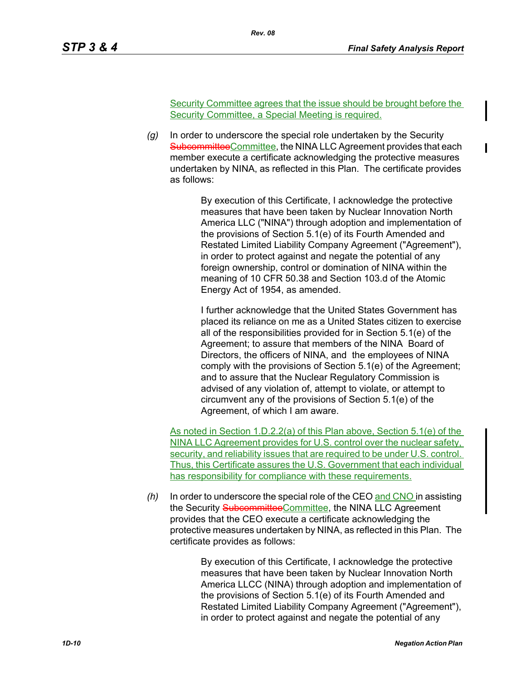Security Committee agrees that the issue should be brought before the Security Committee, a Special Meeting is required.

*(g)* In order to underscore the special role undertaken by the Security SubcommitteeCommittee, the NINA LLC Agreement provides that each member execute a certificate acknowledging the protective measures undertaken by NINA, as reflected in this Plan. The certificate provides as follows:

> By execution of this Certificate, I acknowledge the protective measures that have been taken by Nuclear Innovation North America LLC ("NINA") through adoption and implementation of the provisions of Section 5.1(e) of its Fourth Amended and Restated Limited Liability Company Agreement ("Agreement"), in order to protect against and negate the potential of any foreign ownership, control or domination of NINA within the meaning of 10 CFR 50.38 and Section 103.d of the Atomic Energy Act of 1954, as amended.

> I further acknowledge that the United States Government has placed its reliance on me as a United States citizen to exercise all of the responsibilities provided for in Section 5.1(e) of the Agreement; to assure that members of the NINA Board of Directors, the officers of NINA, and the employees of NINA comply with the provisions of Section 5.1(e) of the Agreement; and to assure that the Nuclear Regulatory Commission is advised of any violation of, attempt to violate, or attempt to circumvent any of the provisions of Section 5.1(e) of the Agreement, of which I am aware.

As noted in Section 1.D.2.2(a) of this Plan above, Section 5.1(e) of the NINA LLC Agreement provides for U.S. control over the nuclear safety, security, and reliability issues that are required to be under U.S. control. Thus, this Certificate assures the U.S. Government that each individual has responsibility for compliance with these requirements.

*(h)* In order to underscore the special role of the CEO and CNO in assisting the Security SubcommitteeCommittee, the NINA LLC Agreement provides that the CEO execute a certificate acknowledging the protective measures undertaken by NINA, as reflected in this Plan. The certificate provides as follows:

> By execution of this Certificate, I acknowledge the protective measures that have been taken by Nuclear Innovation North America LLCC (NINA) through adoption and implementation of the provisions of Section 5.1(e) of its Fourth Amended and Restated Limited Liability Company Agreement ("Agreement"), in order to protect against and negate the potential of any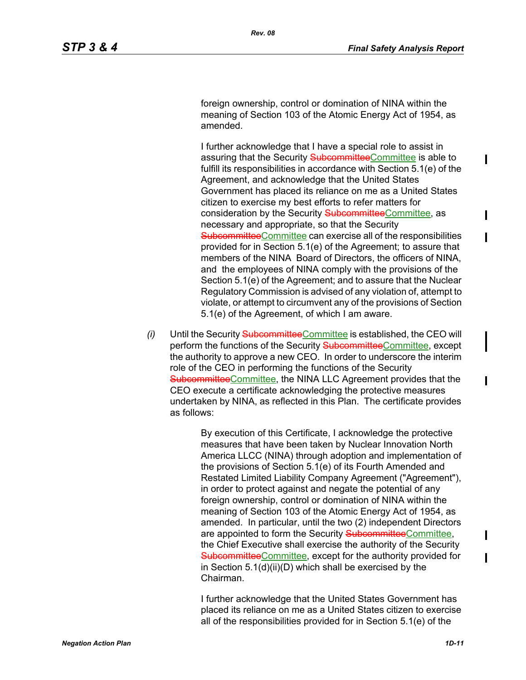foreign ownership, control or domination of NINA within the meaning of Section 103 of the Atomic Energy Act of 1954, as amended.

I further acknowledge that I have a special role to assist in assuring that the Security SubcommitteeCommittee is able to fulfill its responsibilities in accordance with Section 5.1(e) of the Agreement, and acknowledge that the United States Government has placed its reliance on me as a United States citizen to exercise my best efforts to refer matters for consideration by the Security SubcommitteeCommittee, as necessary and appropriate, so that the Security SubcommitteeCommittee can exercise all of the responsibilities provided for in Section 5.1(e) of the Agreement; to assure that members of the NINA Board of Directors, the officers of NINA, and the employees of NINA comply with the provisions of the Section 5.1(e) of the Agreement; and to assure that the Nuclear Regulatory Commission is advised of any violation of, attempt to violate, or attempt to circumvent any of the provisions of Section 5.1(e) of the Agreement, of which I am aware.

*(i)* Until the Security Subcommittee Committee is established, the CEO will perform the functions of the Security **SubcommitteeCommittee**, except the authority to approve a new CEO. In order to underscore the interim role of the CEO in performing the functions of the Security SubcommitteeCommittee, the NINA LLC Agreement provides that the CEO execute a certificate acknowledging the protective measures undertaken by NINA, as reflected in this Plan. The certificate provides as follows:

> By execution of this Certificate, I acknowledge the protective measures that have been taken by Nuclear Innovation North America LLCC (NINA) through adoption and implementation of the provisions of Section 5.1(e) of its Fourth Amended and Restated Limited Liability Company Agreement ("Agreement"), in order to protect against and negate the potential of any foreign ownership, control or domination of NINA within the meaning of Section 103 of the Atomic Energy Act of 1954, as amended. In particular, until the two (2) independent Directors are appointed to form the Security SubcommitteeCommittee, the Chief Executive shall exercise the authority of the Security SubcommitteeCommittee, except for the authority provided for in Section 5.1(d)(ii)(D) which shall be exercised by the Chairman.

> I further acknowledge that the United States Government has placed its reliance on me as a United States citizen to exercise all of the responsibilities provided for in Section 5.1(e) of the

Ι

 $\blacksquare$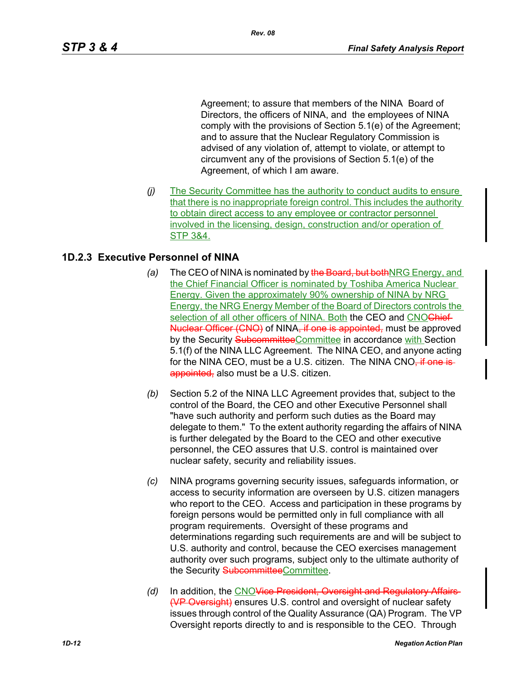Agreement; to assure that members of the NINA Board of Directors, the officers of NINA, and the employees of NINA comply with the provisions of Section 5.1(e) of the Agreement; and to assure that the Nuclear Regulatory Commission is advised of any violation of, attempt to violate, or attempt to circumvent any of the provisions of Section 5.1(e) of the Agreement, of which I am aware.

*(j)* The Security Committee has the authority to conduct audits to ensure that there is no inappropriate foreign control. This includes the authority to obtain direct access to any employee or contractor personnel involved in the licensing, design, construction and/or operation of STP 3&4.

## **1D.2.3 Executive Personnel of NINA**

- *(a)* The CEO of NINA is nominated by the Board, but both NRG Energy, and the Chief Financial Officer is nominated by Toshiba America Nuclear Energy. Given the approximately 90% ownership of NINA by NRG Energy, the NRG Energy Member of the Board of Directors controls the selection of all other officers of NINA. Both the CEO and CNOChief Nuclear Officer (CNO) of NINA, if one is appointed, must be approved by the Security SubcommitteeCommittee in accordance with Section 5.1(f) of the NINA LLC Agreement. The NINA CEO, and anyone acting for the NINA CEO, must be a U.S. citizen. The NINA CNO, if one isappointed, also must be a U.S. citizen.
- *(b)* Section 5.2 of the NINA LLC Agreement provides that, subject to the control of the Board, the CEO and other Executive Personnel shall "have such authority and perform such duties as the Board may delegate to them." To the extent authority regarding the affairs of NINA is further delegated by the Board to the CEO and other executive personnel, the CEO assures that U.S. control is maintained over nuclear safety, security and reliability issues.
- *(c)* NINA programs governing security issues, safeguards information, or access to security information are overseen by U.S. citizen managers who report to the CEO. Access and participation in these programs by foreign persons would be permitted only in full compliance with all program requirements. Oversight of these programs and determinations regarding such requirements are and will be subject to U.S. authority and control, because the CEO exercises management authority over such programs, subject only to the ultimate authority of the Security SubcommitteeCommittee.
- *(d)* In addition, the CNOVice President, Oversight and Regulatory Affairs (VP Oversight) ensures U.S. control and oversight of nuclear safety issues through control of the Quality Assurance (QA) Program. The VP Oversight reports directly to and is responsible to the CEO. Through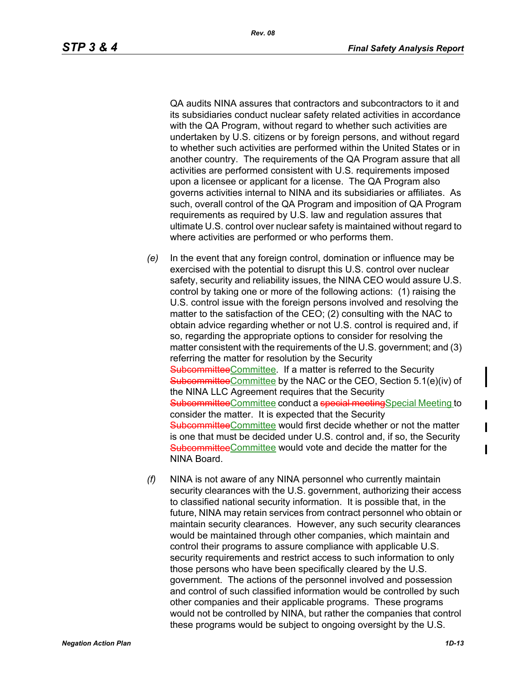QA audits NINA assures that contractors and subcontractors to it and its subsidiaries conduct nuclear safety related activities in accordance with the QA Program, without regard to whether such activities are undertaken by U.S. citizens or by foreign persons, and without regard to whether such activities are performed within the United States or in another country. The requirements of the QA Program assure that all activities are performed consistent with U.S. requirements imposed upon a licensee or applicant for a license. The QA Program also governs activities internal to NINA and its subsidiaries or affiliates. As such, overall control of the QA Program and imposition of QA Program requirements as required by U.S. law and regulation assures that ultimate U.S. control over nuclear safety is maintained without regard to where activities are performed or who performs them.

- *(e)* In the event that any foreign control, domination or influence may be exercised with the potential to disrupt this U.S. control over nuclear safety, security and reliability issues, the NINA CEO would assure U.S. control by taking one or more of the following actions: (1) raising the U.S. control issue with the foreign persons involved and resolving the matter to the satisfaction of the CEO; (2) consulting with the NAC to obtain advice regarding whether or not U.S. control is required and, if so, regarding the appropriate options to consider for resolving the matter consistent with the requirements of the U.S. government; and (3) referring the matter for resolution by the Security SubcommitteeCommittee. If a matter is referred to the Security SubcommitteeCommittee by the NAC or the CEO, Section 5.1(e)(iv) of the NINA LLC Agreement requires that the Security SubcommitteeCommittee conduct a special meetingSpecial Meeting to consider the matter. It is expected that the Security SubcommitteeCommittee would first decide whether or not the matter is one that must be decided under U.S. control and, if so, the Security SubcommitteeCommittee would vote and decide the matter for the NINA Board.
- *(f)* NINA is not aware of any NINA personnel who currently maintain security clearances with the U.S. government, authorizing their access to classified national security information. It is possible that, in the future, NINA may retain services from contract personnel who obtain or maintain security clearances. However, any such security clearances would be maintained through other companies, which maintain and control their programs to assure compliance with applicable U.S. security requirements and restrict access to such information to only those persons who have been specifically cleared by the U.S. government. The actions of the personnel involved and possession and control of such classified information would be controlled by such other companies and their applicable programs. These programs would not be controlled by NINA, but rather the companies that control these programs would be subject to ongoing oversight by the U.S.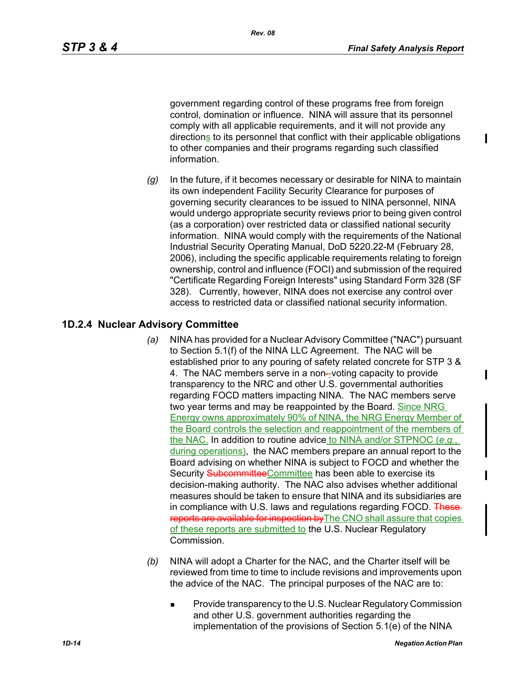government regarding control of these programs free from foreign control, domination or influence. NINA will assure that its personnel comply with all applicable requirements, and it will not provide any directions to its personnel that conflict with their applicable obligations to other companies and their programs regarding such classified information.

*(g)* In the future, if it becomes necessary or desirable for NINA to maintain its own independent Facility Security Clearance for purposes of governing security clearances to be issued to NINA personnel, NINA would undergo appropriate security reviews prior to being given control (as a corporation) over restricted data or classified national security information. NINA would comply with the requirements of the National Industrial Security Operating Manual, DoD 5220.22-M (February 28, 2006), including the specific applicable requirements relating to foreign ownership, control and influence (FOCI) and submission of the required "Certificate Regarding Foreign Interests" using Standard Form 328 (SF 328). Currently, however, NINA does not exercise any control over access to restricted data or classified national security information.

### **1D.2.4 Nuclear Advisory Committee**

- *(a)* NINA has provided for a Nuclear Advisory Committee ("NAC") pursuant to Section 5.1(f) of the NINA LLC Agreement. The NAC will be established prior to any pouring of safety related concrete for STP 3 & 4. The NAC members serve in a non-voting capacity to provide transparency to the NRC and other U.S. governmental authorities regarding FOCD matters impacting NINA. The NAC members serve two year terms and may be reappointed by the Board. Since NRG Energy owns approximately 90% of NINA, the NRG Energy Member of the Board controls the selection and reappointment of the members of the NAC. In addition to routine advice to NINA and/or STPNOC (*e.g.*, during operations), the NAC members prepare an annual report to the Board advising on whether NINA is subject to FOCD and whether the Security SubcommitteeCommittee has been able to exercise its decision-making authority. The NAC also advises whether additional measures should be taken to ensure that NINA and its subsidiaries are in compliance with U.S. laws and regulations regarding FOCD. Thesereports are available for inspection by The CNO shall assure that copies of these reports are submitted to the U.S. Nuclear Regulatory Commission.
- *(b)* NINA will adopt a Charter for the NAC, and the Charter itself will be reviewed from time to time to include revisions and improvements upon the advice of the NAC. The principal purposes of the NAC are to:
	- **Provide transparency to the U.S. Nuclear Regulatory Commission** and other U.S. government authorities regarding the implementation of the provisions of Section 5.1(e) of the NINA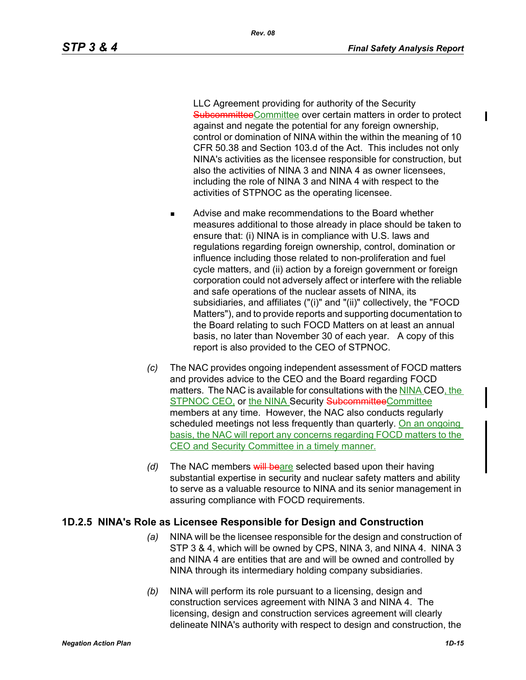I

LLC Agreement providing for authority of the Security SubcommitteeCommittee over certain matters in order to protect against and negate the potential for any foreign ownership, control or domination of NINA within the within the meaning of 10 CFR 50.38 and Section 103.d of the Act. This includes not only NINA's activities as the licensee responsible for construction, but also the activities of NINA 3 and NINA 4 as owner licensees, including the role of NINA 3 and NINA 4 with respect to the activities of STPNOC as the operating licensee.

- **Advise and make recommendations to the Board whether** measures additional to those already in place should be taken to ensure that: (i) NINA is in compliance with U.S. laws and regulations regarding foreign ownership, control, domination or influence including those related to non-proliferation and fuel cycle matters, and (ii) action by a foreign government or foreign corporation could not adversely affect or interfere with the reliable and safe operations of the nuclear assets of NINA, its subsidiaries, and affiliates ("(i)" and "(ii)" collectively, the "FOCD Matters"), and to provide reports and supporting documentation to the Board relating to such FOCD Matters on at least an annual basis, no later than November 30 of each year. A copy of this report is also provided to the CEO of STPNOC.
- *(c)* The NAC provides ongoing independent assessment of FOCD matters and provides advice to the CEO and the Board regarding FOCD matters. The NAC is available for consultations with the NINA CEO, the STPNOC CEO, or the NINA Security SubcommitteeCommittee members at any time. However, the NAC also conducts regularly scheduled meetings not less frequently than quarterly. On an ongoing basis, the NAC will report any concerns regarding FOCD matters to the CEO and Security Committee in a timely manner.
- *(d)* The NAC members will beare selected based upon their having substantial expertise in security and nuclear safety matters and ability to serve as a valuable resource to NINA and its senior management in assuring compliance with FOCD requirements.

#### **1D.2.5 NINA's Role as Licensee Responsible for Design and Construction**

- *(a)* NINA will be the licensee responsible for the design and construction of STP 3 & 4, which will be owned by CPS, NINA 3, and NINA 4. NINA 3 and NINA 4 are entities that are and will be owned and controlled by NINA through its intermediary holding company subsidiaries.
- *(b)* NINA will perform its role pursuant to a licensing, design and construction services agreement with NINA 3 and NINA 4. The licensing, design and construction services agreement will clearly delineate NINA's authority with respect to design and construction, the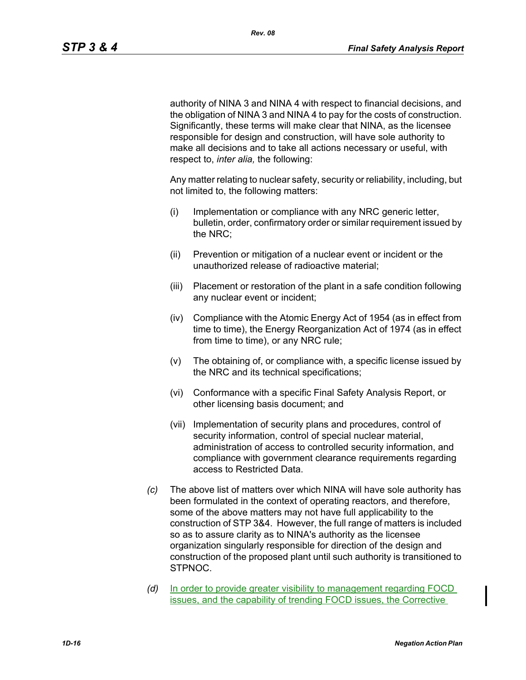authority of NINA 3 and NINA 4 with respect to financial decisions, and the obligation of NINA 3 and NINA 4 to pay for the costs of construction. Significantly, these terms will make clear that NINA, as the licensee responsible for design and construction, will have sole authority to make all decisions and to take all actions necessary or useful, with respect to, *inter alia,* the following:

Any matter relating to nuclear safety, security or reliability, including, but not limited to, the following matters:

- (i) Implementation or compliance with any NRC generic letter, bulletin, order, confirmatory order or similar requirement issued by the NRC;
- (ii) Prevention or mitigation of a nuclear event or incident or the unauthorized release of radioactive material;
- (iii) Placement or restoration of the plant in a safe condition following any nuclear event or incident;
- (iv) Compliance with the Atomic Energy Act of 1954 (as in effect from time to time), the Energy Reorganization Act of 1974 (as in effect from time to time), or any NRC rule;
- (v) The obtaining of, or compliance with, a specific license issued by the NRC and its technical specifications;
- (vi) Conformance with a specific Final Safety Analysis Report, or other licensing basis document; and
- (vii) Implementation of security plans and procedures, control of security information, control of special nuclear material, administration of access to controlled security information, and compliance with government clearance requirements regarding access to Restricted Data.
- *(c)* The above list of matters over which NINA will have sole authority has been formulated in the context of operating reactors, and therefore, some of the above matters may not have full applicability to the construction of STP 3&4. However, the full range of matters is included so as to assure clarity as to NINA's authority as the licensee organization singularly responsible for direction of the design and construction of the proposed plant until such authority is transitioned to STPNOC.
- *(d)* In order to provide greater visibility to management regarding FOCD issues, and the capability of trending FOCD issues, the Corrective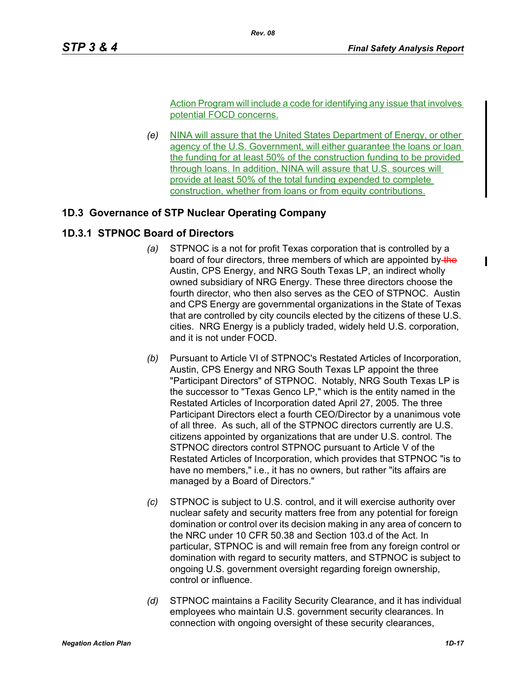Action Program will include a code for identifying any issue that involves potential FOCD concerns.

*(e)* NINA will assure that the United States Department of Energy, or other agency of the U.S. Government, will either quarantee the loans or loan the funding for at least 50% of the construction funding to be provided through loans. In addition, NINA will assure that U.S. sources will provide at least 50% of the total funding expended to complete construction, whether from loans or from equity contributions.

## **1D.3 Governance of STP Nuclear Operating Company**

## **1D.3.1 STPNOC Board of Directors**

- *(a)* STPNOC is a not for profit Texas corporation that is controlled by a board of four directors, three members of which are appointed by-the Austin, CPS Energy, and NRG South Texas LP, an indirect wholly owned subsidiary of NRG Energy. These three directors choose the fourth director, who then also serves as the CEO of STPNOC. Austin and CPS Energy are governmental organizations in the State of Texas that are controlled by city councils elected by the citizens of these U.S. cities. NRG Energy is a publicly traded, widely held U.S. corporation, and it is not under FOCD.
- *(b)* Pursuant to Article VI of STPNOC's Restated Articles of Incorporation, Austin, CPS Energy and NRG South Texas LP appoint the three "Participant Directors" of STPNOC. Notably, NRG South Texas LP is the successor to "Texas Genco LP," which is the entity named in the Restated Articles of Incorporation dated April 27, 2005. The three Participant Directors elect a fourth CEO/Director by a unanimous vote of all three. As such, all of the STPNOC directors currently are U.S. citizens appointed by organizations that are under U.S. control. The STPNOC directors control STPNOC pursuant to Article V of the Restated Articles of Incorporation, which provides that STPNOC "is to have no members," i.e., it has no owners, but rather "its affairs are managed by a Board of Directors."
- *(c)* STPNOC is subject to U.S. control, and it will exercise authority over nuclear safety and security matters free from any potential for foreign domination or control over its decision making in any area of concern to the NRC under 10 CFR 50.38 and Section 103.d of the Act. In particular, STPNOC is and will remain free from any foreign control or domination with regard to security matters, and STPNOC is subject to ongoing U.S. government oversight regarding foreign ownership, control or influence.
- *(d)* STPNOC maintains a Facility Security Clearance, and it has individual employees who maintain U.S. government security clearances. In connection with ongoing oversight of these security clearances,

 $\mathbf I$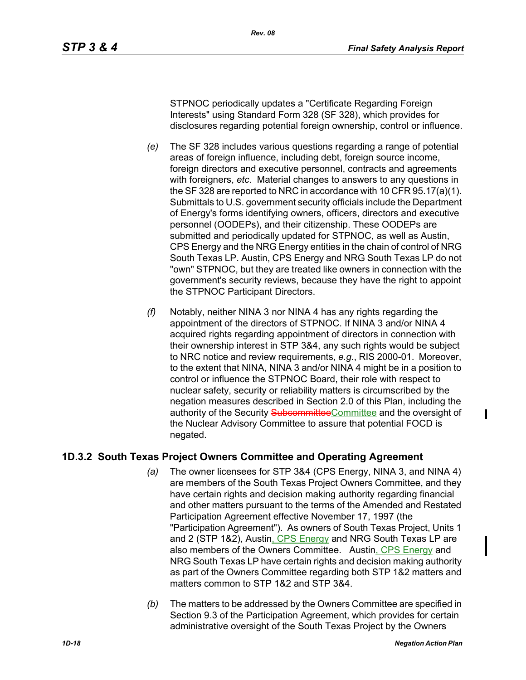STPNOC periodically updates a "Certificate Regarding Foreign Interests" using Standard Form 328 (SF 328), which provides for disclosures regarding potential foreign ownership, control or influence.

- *(e)* The SF 328 includes various questions regarding a range of potential areas of foreign influence, including debt, foreign source income, foreign directors and executive personnel, contracts and agreements with foreigners, *etc*. Material changes to answers to any questions in the SF 328 are reported to NRC in accordance with 10 CFR 95.17(a)(1). Submittals to U.S. government security officials include the Department of Energy's forms identifying owners, officers, directors and executive personnel (OODEPs), and their citizenship. These OODEPs are submitted and periodically updated for STPNOC, as well as Austin, CPS Energy and the NRG Energy entities in the chain of control of NRG South Texas LP. Austin, CPS Energy and NRG South Texas LP do not "own" STPNOC, but they are treated like owners in connection with the government's security reviews, because they have the right to appoint the STPNOC Participant Directors.
- *(f)* Notably, neither NINA 3 nor NINA 4 has any rights regarding the appointment of the directors of STPNOC. If NINA 3 and/or NINA 4 acquired rights regarding appointment of directors in connection with their ownership interest in STP 3&4, any such rights would be subject to NRC notice and review requirements, *e.g.*, RIS 2000-01. Moreover, to the extent that NINA, NINA 3 and/or NINA 4 might be in a position to control or influence the STPNOC Board, their role with respect to nuclear safety, security or reliability matters is circumscribed by the negation measures described in Section 2.0 of this Plan, including the authority of the Security SubcommitteeCommittee and the oversight of the Nuclear Advisory Committee to assure that potential FOCD is negated.

## **1D.3.2 South Texas Project Owners Committee and Operating Agreement**

- *(a)* The owner licensees for STP 3&4 (CPS Energy, NINA 3, and NINA 4) are members of the South Texas Project Owners Committee, and they have certain rights and decision making authority regarding financial and other matters pursuant to the terms of the Amended and Restated Participation Agreement effective November 17, 1997 (the "Participation Agreement"). As owners of South Texas Project, Units 1 and 2 (STP 1&2), Austin, CPS Energy and NRG South Texas LP are also members of the Owners Committee. Austin, CPS Energy and NRG South Texas LP have certain rights and decision making authority as part of the Owners Committee regarding both STP 1&2 matters and matters common to STP 1&2 and STP 3&4.
- *(b)* The matters to be addressed by the Owners Committee are specified in Section 9.3 of the Participation Agreement, which provides for certain administrative oversight of the South Texas Project by the Owners

ı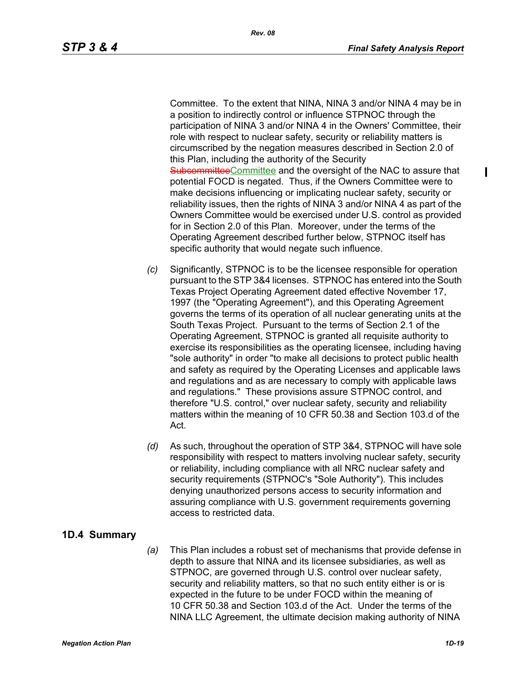$\blacksquare$ 

Committee. To the extent that NINA, NINA 3 and/or NINA 4 may be in a position to indirectly control or influence STPNOC through the participation of NINA 3 and/or NINA 4 in the Owners' Committee, their role with respect to nuclear safety, security or reliability matters is circumscribed by the negation measures described in Section 2.0 of this Plan, including the authority of the Security SubcommitteeCommittee and the oversight of the NAC to assure that potential FOCD is negated. Thus, if the Owners Committee were to make decisions influencing or implicating nuclear safety, security or reliability issues, then the rights of NINA 3 and/or NINA 4 as part of the Owners Committee would be exercised under U.S. control as provided for in Section 2.0 of this Plan. Moreover, under the terms of the Operating Agreement described further below, STPNOC itself has specific authority that would negate such influence.

- *(c)* Significantly, STPNOC is to be the licensee responsible for operation pursuant to the STP 3&4 licenses. STPNOC has entered into the South Texas Project Operating Agreement dated effective November 17, 1997 (the "Operating Agreement"), and this Operating Agreement governs the terms of its operation of all nuclear generating units at the South Texas Project. Pursuant to the terms of Section 2.1 of the Operating Agreement, STPNOC is granted all requisite authority to exercise its responsibilities as the operating licensee, including having "sole authority" in order "to make all decisions to protect public health and safety as required by the Operating Licenses and applicable laws and regulations and as are necessary to comply with applicable laws and regulations." These provisions assure STPNOC control, and therefore "U.S. control," over nuclear safety, security and reliability matters within the meaning of 10 CFR 50.38 and Section 103.d of the Act.
- *(d)* As such, throughout the operation of STP 3&4, STPNOC will have sole responsibility with respect to matters involving nuclear safety, security or reliability, including compliance with all NRC nuclear safety and security requirements (STPNOC's "Sole Authority"). This includes denying unauthorized persons access to security information and assuring compliance with U.S. government requirements governing access to restricted data.

# **1D.4 Summary**

*(a)* This Plan includes a robust set of mechanisms that provide defense in depth to assure that NINA and its licensee subsidiaries, as well as STPNOC, are governed through U.S. control over nuclear safety, security and reliability matters, so that no such entity either is or is expected in the future to be under FOCD within the meaning of 10 CFR 50.38 and Section 103.d of the Act. Under the terms of the NINA LLC Agreement, the ultimate decision making authority of NINA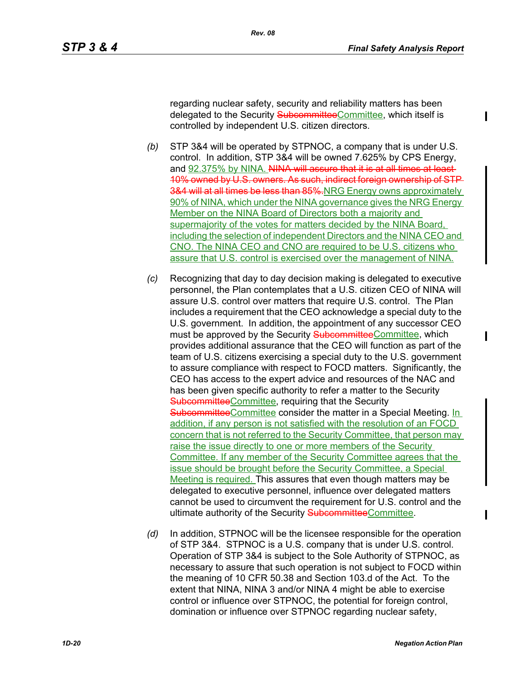regarding nuclear safety, security and reliability matters has been delegated to the Security SubcommitteeCommittee, which itself is controlled by independent U.S. citizen directors.

- *(b)* STP 3&4 will be operated by STPNOC, a company that is under U.S. control. In addition, STP 3&4 will be owned 7.625% by CPS Energy, and 92.375% by NINA. NINA will assure that it is at all times at least-10% owned by U.S. owners. As such, indirect foreign ownership of STP 3&4 will at all times be less than 85%.NRG Energy owns approximately 90% of NINA, which under the NINA governance gives the NRG Energy Member on the NINA Board of Directors both a majority and supermajority of the votes for matters decided by the NINA Board, including the selection of independent Directors and the NINA CEO and CNO. The NINA CEO and CNO are required to be U.S. citizens who assure that U.S. control is exercised over the management of NINA.
- *(c)* Recognizing that day to day decision making is delegated to executive personnel, the Plan contemplates that a U.S. citizen CEO of NINA will assure U.S. control over matters that require U.S. control. The Plan includes a requirement that the CEO acknowledge a special duty to the U.S. government. In addition, the appointment of any successor CEO must be approved by the Security SubcommitteeCommittee, which provides additional assurance that the CEO will function as part of the team of U.S. citizens exercising a special duty to the U.S. government to assure compliance with respect to FOCD matters. Significantly, the CEO has access to the expert advice and resources of the NAC and has been given specific authority to refer a matter to the Security SubcommitteeCommittee, requiring that the Security SubcommitteeCommittee consider the matter in a Special Meeting. In addition, if any person is not satisfied with the resolution of an FOCD concern that is not referred to the Security Committee, that person may raise the issue directly to one or more members of the Security Committee. If any member of the Security Committee agrees that the issue should be brought before the Security Committee, a Special Meeting is required. This assures that even though matters may be delegated to executive personnel, influence over delegated matters cannot be used to circumvent the requirement for U.S. control and the ultimate authority of the Security SubcommitteeCommittee.
- *(d)* In addition, STPNOC will be the licensee responsible for the operation of STP 3&4. STPNOC is a U.S. company that is under U.S. control. Operation of STP 3&4 is subject to the Sole Authority of STPNOC, as necessary to assure that such operation is not subject to FOCD within the meaning of 10 CFR 50.38 and Section 103.d of the Act. To the extent that NINA, NINA 3 and/or NINA 4 might be able to exercise control or influence over STPNOC, the potential for foreign control, domination or influence over STPNOC regarding nuclear safety,

 $\overline{\phantom{a}}$